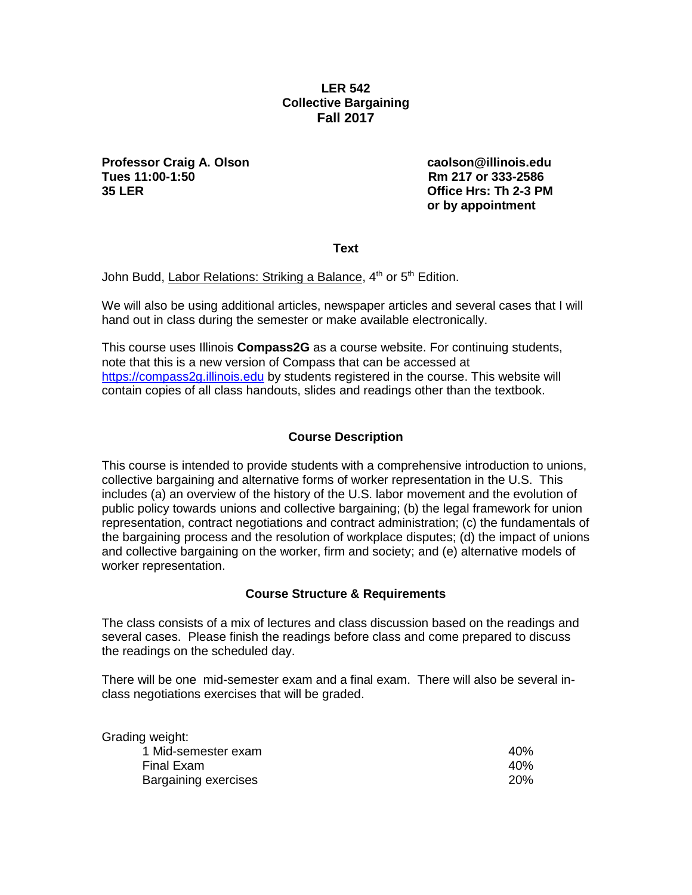# **LER 542 Collective Bargaining Fall 2017**

**Professor Craig A. Olson caolson@illinois.edu Tues 11:00-1:50 Rm 217 or 333-2586 35 LER Office Hrs: Th 2-3 PM**

**or by appointment**

**Text**

John Budd, Labor Relations: Striking a Balance, 4<sup>th</sup> or 5<sup>th</sup> Edition.

We will also be using additional articles, newspaper articles and several cases that I will hand out in class during the semester or make available electronically.

This course uses Illinois **Compass2G** as a course website. For continuing students, note that this is a new version of Compass that can be accessed at [https://compass2g.illinois.edu](https://compass2g.illinois.edu/) by students registered in the course. This website will contain copies of all class handouts, slides and readings other than the textbook.

## **Course Description**

This course is intended to provide students with a comprehensive introduction to unions, collective bargaining and alternative forms of worker representation in the U.S. This includes (a) an overview of the history of the U.S. labor movement and the evolution of public policy towards unions and collective bargaining; (b) the legal framework for union representation, contract negotiations and contract administration; (c) the fundamentals of the bargaining process and the resolution of workplace disputes; (d) the impact of unions and collective bargaining on the worker, firm and society; and (e) alternative models of worker representation.

## **Course Structure & Requirements**

The class consists of a mix of lectures and class discussion based on the readings and several cases. Please finish the readings before class and come prepared to discuss the readings on the scheduled day.

There will be one mid-semester exam and a final exam. There will also be several inclass negotiations exercises that will be graded.

| Grading weight:      |            |
|----------------------|------------|
| 1 Mid-semester exam  | 40%        |
| Final Exam           | 40%        |
| Bargaining exercises | <b>20%</b> |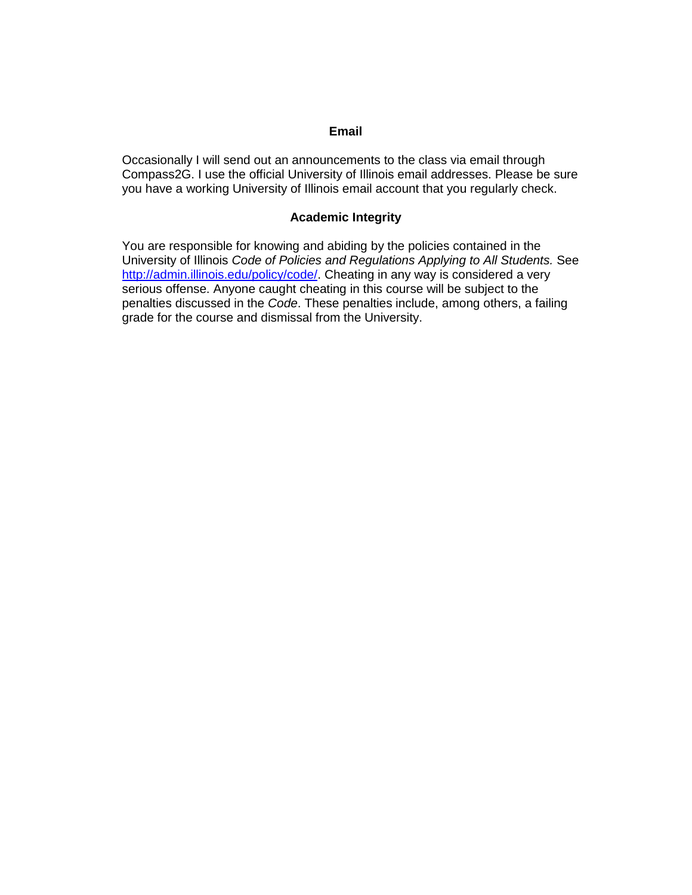# **Email**

Occasionally I will send out an announcements to the class via email through Compass2G. I use the official University of Illinois email addresses. Please be sure you have a working University of Illinois email account that you regularly check.

## **Academic Integrity**

You are responsible for knowing and abiding by the policies contained in the University of Illinois *Code of Policies and Regulations Applying to All Students.* See [http://admin.illinois.edu/policy/code/.](http://admin.illinois.edu/policy/code/) Cheating in any way is considered a very serious offense. Anyone caught cheating in this course will be subject to the penalties discussed in the *Code*. These penalties include, among others, a failing grade for the course and dismissal from the University.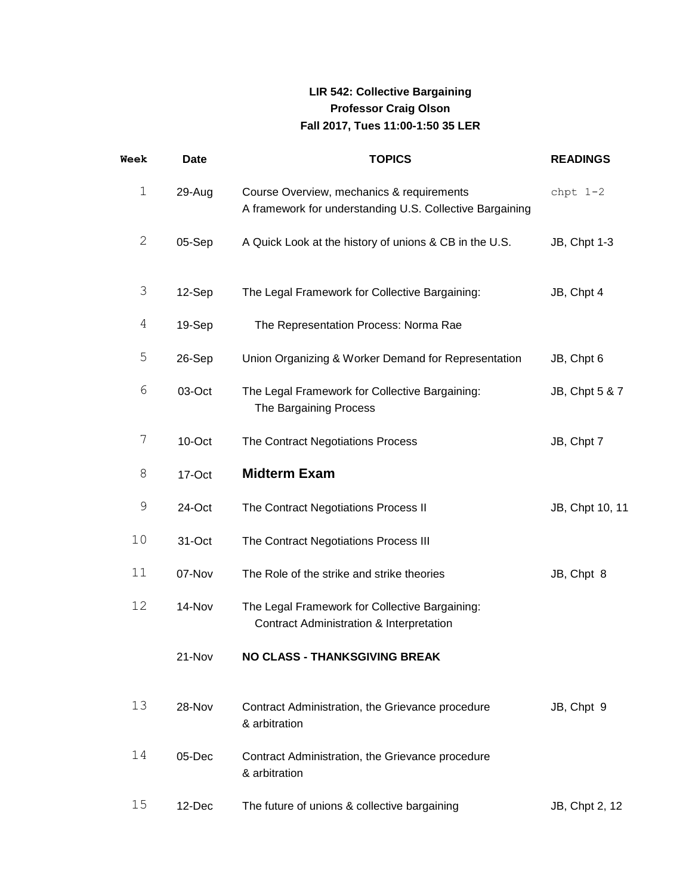# **LIR 542: Collective Bargaining Professor Craig Olson Fall 2017, Tues 11:00-1:50 35 LER**

| Week  | <b>Date</b> | <b>TOPICS</b>                                                                                         | <b>READINGS</b>     |
|-------|-------------|-------------------------------------------------------------------------------------------------------|---------------------|
| $1\,$ | 29-Aug      | Course Overview, mechanics & requirements<br>A framework for understanding U.S. Collective Bargaining | chpt $1-2$          |
| 2     | 05-Sep      | A Quick Look at the history of unions & CB in the U.S.                                                | <b>JB, Chpt 1-3</b> |
| 3     | 12-Sep      | The Legal Framework for Collective Bargaining:                                                        | JB, Chpt 4          |
| 4     | 19-Sep      | The Representation Process: Norma Rae                                                                 |                     |
| 5     | 26-Sep      | Union Organizing & Worker Demand for Representation                                                   | JB, Chpt 6          |
| 6     | 03-Oct      | The Legal Framework for Collective Bargaining:<br>The Bargaining Process                              | JB, Chpt 5 & 7      |
| 7     | $10$ -Oct   | The Contract Negotiations Process                                                                     | JB, Chpt 7          |
| 8     | 17-Oct      | <b>Midterm Exam</b>                                                                                   |                     |
| 9     | 24-Oct      | The Contract Negotiations Process II                                                                  | JB, Chpt 10, 11     |
| 10    | 31-Oct      | The Contract Negotiations Process III                                                                 |                     |
| 11    | 07-Nov      | The Role of the strike and strike theories                                                            | JB, Chpt 8          |
| 12    | 14-Nov      | The Legal Framework for Collective Bargaining:<br>Contract Administration & Interpretation            |                     |
|       | 21-Nov      | NO CLASS - THANKSGIVING BREAK                                                                         |                     |
| 13    | 28-Nov      | Contract Administration, the Grievance procedure<br>& arbitration                                     | JB, Chpt 9          |
| 14    | 05-Dec      | Contract Administration, the Grievance procedure<br>& arbitration                                     |                     |
| 15    | 12-Dec      | The future of unions & collective bargaining                                                          | JB, Chpt 2, 12      |